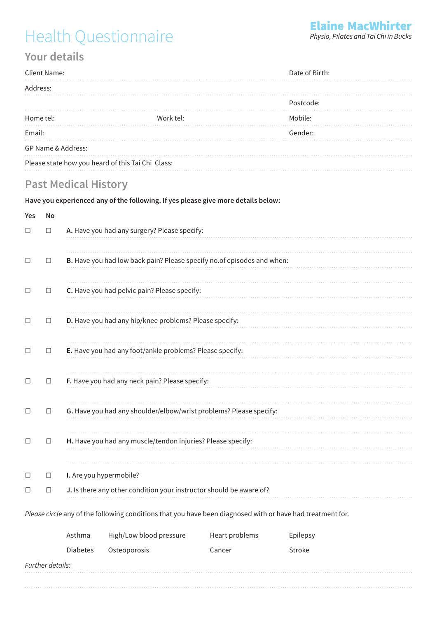## Health Questionnaire

## **Your details**

| Client Name:                                      |           | Date of Birth: |  |
|---------------------------------------------------|-----------|----------------|--|
| Address:                                          |           |                |  |
|                                                   |           | Postcode:      |  |
| Home tel:                                         | Work tel: | Mobile:        |  |
| Email:                                            |           | Gender:        |  |
| GP Name & Address:                                |           |                |  |
| Please state how you heard of this Tai Chi Class: |           |                |  |

### **Past Medical History**

#### **Have you experienced any of the following. If yes please give more details below:**

# **Yes No**  ☐ ☐ **A.** Have you had any surgery? Please specify: ☐ ☐ **B.** Have you had low back pain? Please specify no.of episodes and when: ☐ ☐ **C.** Have you had pelvic pain? Please specify: ☐ ☐ **D.** Have you had any hip/knee problems? Please specify: ☐ ☐ **E.** Have you had any foot/ankle problems? Please specify: ☐ ☐ **F.** Have you had any neck pain? Please specify: ☐ ☐ **G.** Have you had any shoulder/elbow/wrist problems? Please specify: ☐ ☐ **H.** Have you had any muscle/tendon injuries? Please specify: ☐ ☐ **I.** Are you hypermobile? ☐ ☐ **J.** Is there any other condition your instructor should be aware of?

*Please circle* any of the following conditions that you have been diagnosed with or have had treatment for.

|                  | Asthma          | High/Low blood pressure | Heart problems | Epilepsy |
|------------------|-----------------|-------------------------|----------------|----------|
|                  | <b>Diabetes</b> | Osteoporosis            | Cancer         | Stroke   |
| Further details: |                 |                         |                |          |
|                  |                 |                         |                |          |